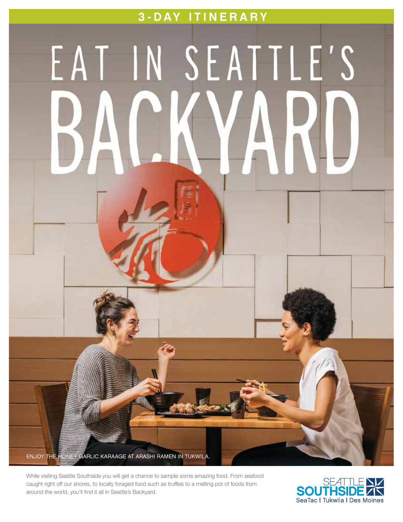# 3-DAY ITINERARY

# EAT IN SEATTLE'S

While visiting Seattle Southside you will get a chance to sample some amazing food. From seafood caught right off our shores, to locally foraged food such as truffles to a melting pot of foods from around the world, you'll find it all in Seattle's Backyard.

ENJOY THE HONEY GARLIC KARAAGE AT ARASHI RAMEN IN TUKWILA.

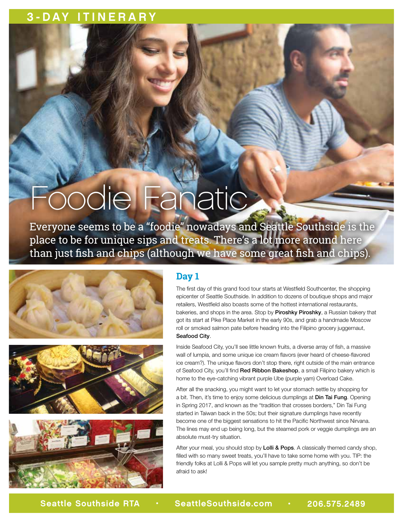# 3-DAY ITINERARY

# Foodie Fanatic

Everyone seems to be a "foodie" nowadays and Seattle Southside is the place to be for unique sips and treats. There's a lot more around here than just fish and chips (although we have some great fish and chips).







# **Day 1**

The first day of this grand food tour starts at Westfield Southcenter, the shopping epicenter of Seattle Southside. In addition to dozens of boutique shops and major retailers, Westfield also boasts some of the hottest international restaurants, bakeries, and shops in the area. Stop by Piroshky Piroshky, a Russian bakery that got its start at Pike Place Market in the early 90s, and grab a handmade Moscow roll or smoked salmon pate before heading into the Filipino grocery juggernaut, Seafood City.

Inside Seafood City, you'll see little known fruits, a diverse array of fish, a massive wall of lumpia, and some unique ice cream flavors (ever heard of cheese-flavored ice cream?). The unique flavors don't stop there, right outside of the main entrance of Seafood City, you'll find Red Ribbon Bakeshop, a small Filipino bakery which is home to the eye-catching vibrant purple Ube (purple yam) Overload Cake.

After all the snacking, you might want to let your stomach settle by shopping for a bit. Then, it's time to enjoy some delicious dumplings at Din Tai Fung. Opening in Spring 2017, and known as the "tradition that crosses borders," Din Tai Fung started in Taiwan back in the 50s; but their signature dumplings have recently become one of the biggest sensations to hit the Pacific Northwest since Nirvana. The lines may end up being long, but the steamed pork or veggie dumplings are an absolute must-try situation.

After your meal, you should stop by Lolli & Pops. A classically themed candy shop, filled with so many sweet treats, you'll have to take some home with you. TIP: the friendly folks at Lolli & Pops will let you sample pretty much anything, so don't be afraid to ask!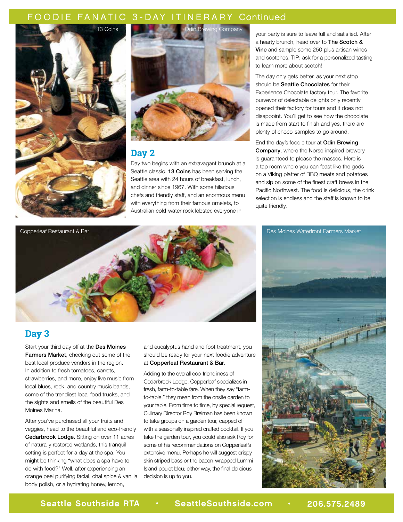## FOODIE FANATIC 3-DAY ITINERARY Continued





## **Day 2**

Day two begins with an extravagant brunch at a Seattle classic. 13 Coins has been serving the Seattle area with 24 hours of breakfast, lunch, and dinner since 1967. With some hilarious chefs and friendly staff, and an enormous menu with everything from their famous omelets, to Australian cold-water rock lobster, everyone in

your party is sure to leave full and satisfied. After a hearty brunch, head over to The Scotch & Vine and sample some 250-plus artisan wines and scotches. TIP: ask for a personalized tasting to learn more about scotch!

The day only gets better, as your next stop should be Seattle Chocolates for their Experience Chocolate factory tour. The favorite purveyor of delectable delights only recently opened their factory for tours and it does not disappoint. You'll get to see how the chocolate is made from start to finish and yes, there are plenty of choco-samples to go around.

End the day's foodie tour at Odin Brewing Company, where the Norse-inspired brewery is guaranteed to please the masses. Here is a tap room where you can feast like the gods on a Viking platter of BBQ meats and potatoes and sip on some of the finest craft brews in the Pacific Northwest. The food is delicious, the drink selection is endless and the staff is known to be quite friendly.



# **Day 3**

Start your third day off at the Des Moines Farmers Market, checking out some of the best local produce vendors in the region. In addition to fresh tomatoes, carrots, strawberries, and more, enjoy live music from local blues, rock, and country music bands, some of the trendiest local food trucks, and the sights and smells of the beautiful Des Moines Marina.

After you've purchased all your fruits and veggies, head to the beautiful and eco-friendly Cedarbrook Lodge. Sitting on over 11 acres of naturally restored wetlands, this tranquil setting is perfect for a day at the spa. You might be thinking "what does a spa have to do with food?" Well, after experiencing an orange peel purifying facial, chai spice & vanilla body polish, or a hydrating honey, lemon,

and eucalyptus hand and foot treatment, you should be ready for your next foodie adventure at Copperleaf Restaurant & Bar.

Adding to the overall eco-friendliness of Cedarbrook Lodge, Copperleaf specializes in fresh, farm-to-table fare. When they say "farmto-table," they mean from the onsite garden to your table! From time to time, by special request, Culinary Director Roy Breiman has been known to take groups on a garden tour, capped off with a seasonally inspired crafted cocktail. If you take the garden tour, you could also ask Roy for some of his recommendations on Copperleaf's extensive menu. Perhaps he will suggest crispy skin striped bass or the bacon-wrapped Lummi Island poulet bleu; either way, the final delicious decision is up to you.